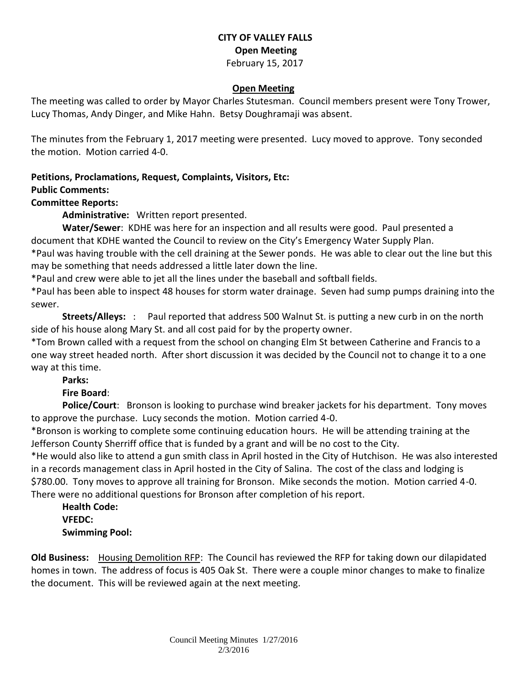# **CITY OF VALLEY FALLS Open Meeting** February 15, 2017

#### **Open Meeting**

The meeting was called to order by Mayor Charles Stutesman. Council members present were Tony Trower, Lucy Thomas, Andy Dinger, and Mike Hahn. Betsy Doughramaji was absent.

The minutes from the February 1, 2017 meeting were presented. Lucy moved to approve. Tony seconded the motion. Motion carried 4-0.

### **Petitions, Proclamations, Request, Complaints, Visitors, Etc: Public Comments:**

### **Committee Reports:**

**Administrative:** Written report presented.

**Water/Sewer**: KDHE was here for an inspection and all results were good. Paul presented a document that KDHE wanted the Council to review on the City's Emergency Water Supply Plan. \*Paul was having trouble with the cell draining at the Sewer ponds. He was able to clear out the line but this may be something that needs addressed a little later down the line.

\*Paul and crew were able to jet all the lines under the baseball and softball fields.

\*Paul has been able to inspect 48 houses for storm water drainage. Seven had sump pumps draining into the sewer.

**Streets/Alleys:** : Paul reported that address 500 Walnut St. is putting a new curb in on the north side of his house along Mary St. and all cost paid for by the property owner.

\*Tom Brown called with a request from the school on changing Elm St between Catherine and Francis to a one way street headed north. After short discussion it was decided by the Council not to change it to a one way at this time.

**Parks:** 

### **Fire Board**:

**Police/Court**: Bronson is looking to purchase wind breaker jackets for his department. Tony moves to approve the purchase. Lucy seconds the motion. Motion carried 4-0.

\*Bronson is working to complete some continuing education hours. He will be attending training at the Jefferson County Sherriff office that is funded by a grant and will be no cost to the City.

\*He would also like to attend a gun smith class in April hosted in the City of Hutchison. He was also interested in a records management class in April hosted in the City of Salina. The cost of the class and lodging is \$780.00. Tony moves to approve all training for Bronson. Mike seconds the motion. Motion carried 4-0.

There were no additional questions for Bronson after completion of his report.

**Health Code: VFEDC: Swimming Pool:** 

**Old Business:** Housing Demolition RFP: The Council has reviewed the RFP for taking down our dilapidated homes in town. The address of focus is 405 Oak St. There were a couple minor changes to make to finalize the document. This will be reviewed again at the next meeting.